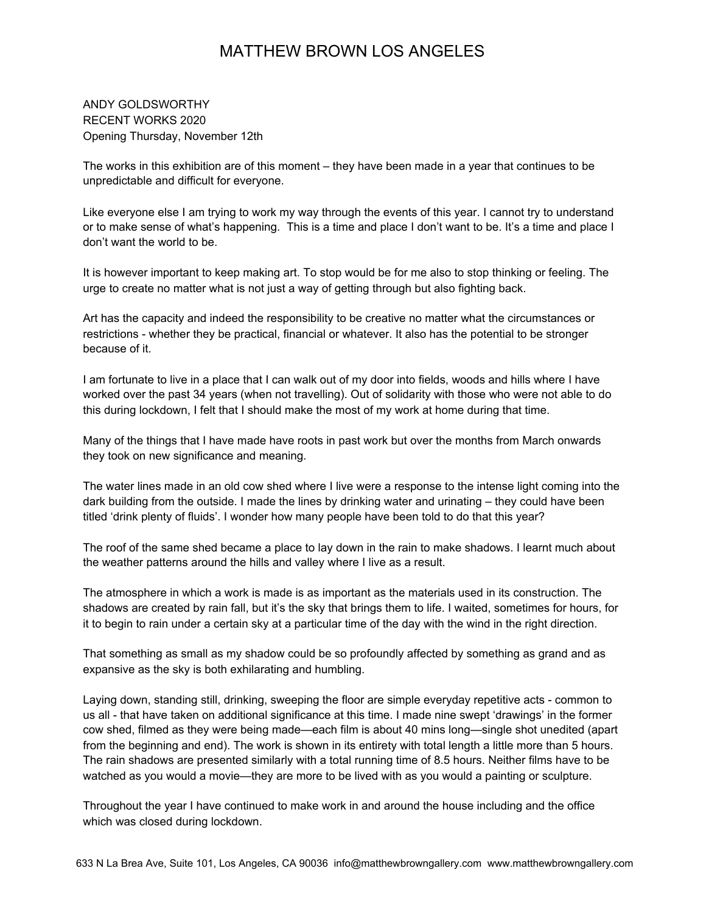ANDY GOLDSWORTHY RECENT WORKS 2020 Opening Thursday, November 12th

The works in this exhibition are of this moment  $-$  they have been made in a year that continues to be unpredictable and difficult for everyone.

Like everyone else I am trying to work my way through the events of this year. I cannot try to understand or to make sense of what's happening. This is a time and place I don't want to be. It's a time and place I don't want the world to be.

It is however important to keep making art. To stop would be for me also to stop thinking or feeling. The urge to create no matter what is not just a way of getting through but also fighting back.

Art has the capacity and indeed the responsibility to be creative no matter what the circumstances or restrictions - whether they be practical, financial or whatever. It also has the potential to be stronger because of it.

I am fortunate to live in a place that I can walk out of my door into fields, woods and hills where I have worked over the past 34 years (when not travelling). Out of solidarity with those who were not able to do this during lockdown, I felt that I should make the most of my work at home during that time.

Many of the things that I have made have roots in past work but over the months from March onwards they took on new significance and meaning.

The water lines made in an old cow shed where I live were a response to the intense light coming into the dark building from the outside. I made the lines by drinking water and urinating – they could have been titled 'drink plenty of fluids'. I wonder how many people have been told to do that this year?

The roof of the same shed became a place to lay down in the rain to make shadows. I learnt much about the weather patterns around the hills and valley where I live as a result.

The atmosphere in which a work is made is as important as the materials used in its construction. The shadows are created by rain fall, but it's the sky that brings them to life. I waited, sometimes for hours, for it to begin to rain under a certain sky at a particular time of the day with the wind in the right direction.

That something as small as my shadow could be so profoundly affected by something as grand and as expansive as the sky is both exhilarating and humbling.

Laying down, standing still, drinking, sweeping the floor are simple everyday repetitive acts - common to us all - that have taken on additional significance at this time. I made nine swept 'drawings' in the former cow shed, filmed as they were being made—each film is about 40 mins long—single shot unedited (apart from the beginning and end). The work is shown in its entirety with total length a little more than 5 hours. The rain shadows are presented similarly with a total running time of 8.5 hours. Neither films have to be watched as you would a movie—they are more to be lived with as you would a painting or sculpture.

Throughout the year I have continued to make work in and around the house including and the office which was closed during lockdown.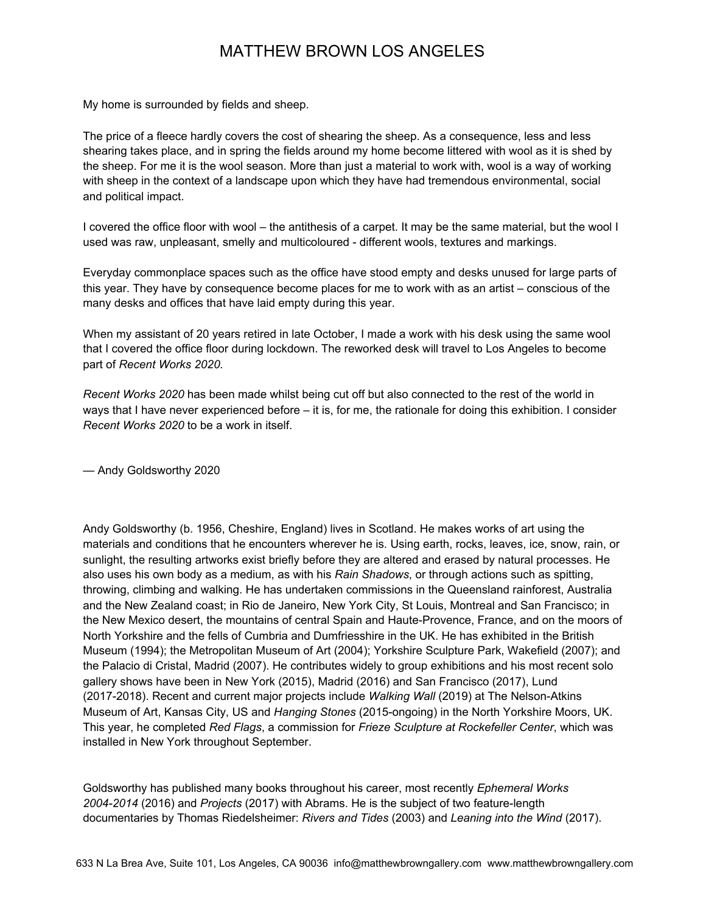My home is surrounded by fields and sheep.

The price of a fleece hardly covers the cost of shearing the sheep. As a consequence, less and less shearing takes place, and in spring the fields around my home become littered with wool as it is shed by the sheep. For me it is the wool season. More than just a material to work with, wool is a way of working with sheep in the context of a landscape upon which they have had tremendous environmental, social and political impact.

I covered the office floor with wool – the antithesis of a carpet. It may be the same material, but the wool I used was raw, unpleasant, smelly and multicoloured - different wools, textures and markings.

Everyday commonplace spaces such as the office have stood empty and desks unused for large parts of this year. They have by consequence become places for me to work with as an artist  $-$  conscious of the many desks and offices that have laid empty during this year.

When my assistant of 20 years retired in late October, I made a work with his desk using the same wool that I covered the office floor during lockdown. The reworked desk will travel to Los Angeles to become part of *Recent Works* 2020.

*Recent Works 2020* has been made whilst being cut off but also connected to the rest of the world in ways that I have never experienced before – it is, for me, the rationale for doing this exhibition. I consider *Recent Works 2020* to be a work in itself.

 $-$  Andy Goldsworthy 2020

Andy Goldsworthy (b. 1956, Cheshire, England) lives in Scotland. He makes works of art using the materials and conditions that he encounters wherever he is. Using earth, rocks, leaves, ice, snow, rain, or sunlight, the resulting artworks exist briefly before they are altered and erased by natural processes. He also uses his own body as a medium, as with his *Rain Shadows*, or through actions such as spitting, throwing, climbing and walking. He has undertaken commissions in the Queensland rainforest, Australia and the New Zealand coast; in Rio de Janeiro, New York City, St Louis, Montreal and San Francisco; in the New Mexico desert, the mountains of central Spain and Haute-Provence, France, and on the moors of North Yorkshire and the fells of Cumbria and Dumfriesshire in the UK. He has exhibited in the British Museum (1994); the Metropolitan Museum of Art (2004); Yorkshire Sculpture Park, Wakefield (2007); and the Palacio di Cristal, Madrid (2007). He contributes widely to group exhibitions and his most recent solo gallery shows have been in New York (2015), Madrid (2016) and San Francisco (2017), Lund (2017-2018). Recent and current major projects include *Walking Wall* (2019) at The Nelson-Atkins Museum of Art, Kansas City, US and *Hanging Stones* (2015-ongoing) in the North Yorkshire Moors, UK. This year, he completed *Red Flags*, a commission for *Frieze Sculpture at Rockefeller Center*, which was installed in New York throughout September.

Goldsworthy has published many books throughout his career, most recently *Ephemeral Works* 2004-2014 (2016) and *Projects* (2017) with Abrams. He is the subject of two feature-length documentaries by Thomas Riedelsheimer: *Rivers and Tides* (2003) and *Leaning into the Wind* (2017).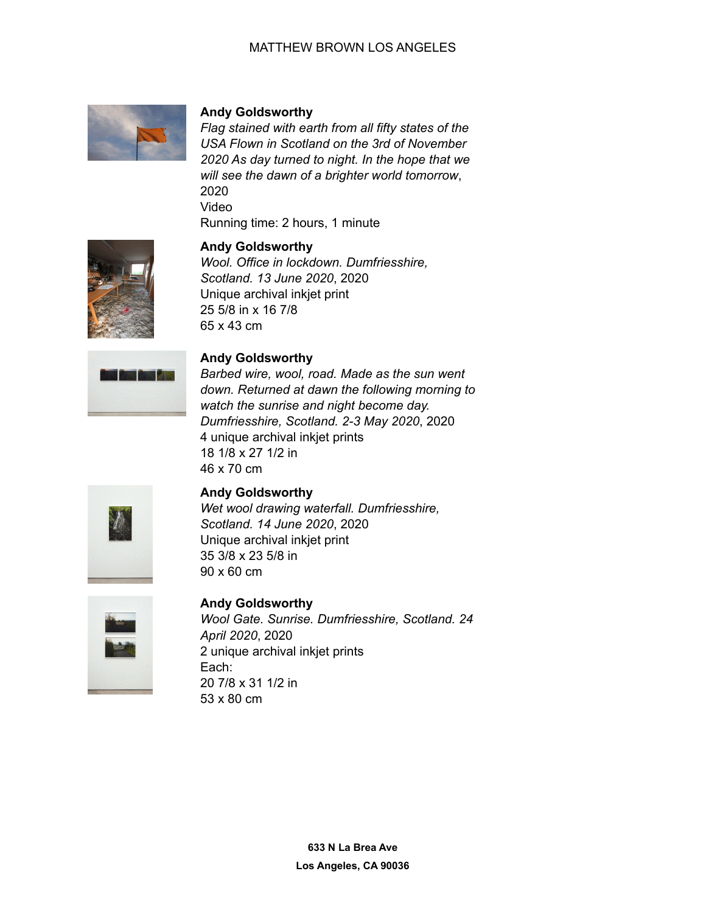

#### **Andy Goldsworthy**

*Flag stained with earth from all fifty states of the USA Flown in Scotland on the 3rd of November 2020 As day turned to night. In the hope that we will see the dawn of a brighter world tomorrow*, 2020 Video Running time: 2 hours, 1 minute



## **Andy Goldsworthy**

*Wool. Office in lockdown. Dumfriesshire, Scotland. 13 June 2020*, 2020 Unique archival inkjet print 25 5/8 in x 16 7/8 65 x 43 cm



#### **Andy Goldsworthy**

*Barbed wire, wool, road. Made as the sun went down. Returned at dawn the following morning to watch the sunrise and night become day. Dumfriesshire, Scotland. 2-3 May 2020*, 2020 4 unique archival inkjet prints 18 1/8 x 27 1/2 in 46 x 70 cm



#### **Andy Goldsworthy**

*Wet wool drawing waterfall. Dumfriesshire, Scotland. 14 June 2020*, 2020 Unique archival inkjet print 35 3/8 x 23 5/8 in 90 x 60 cm



## **Andy Goldsworthy** *Wool Gate. Sunrise. Dumfriesshire, Scotland. 24 April 2020*, 2020 2 unique archival inkjet prints Each: 20 7/8 x 31 1/2 in 53 x 80 cm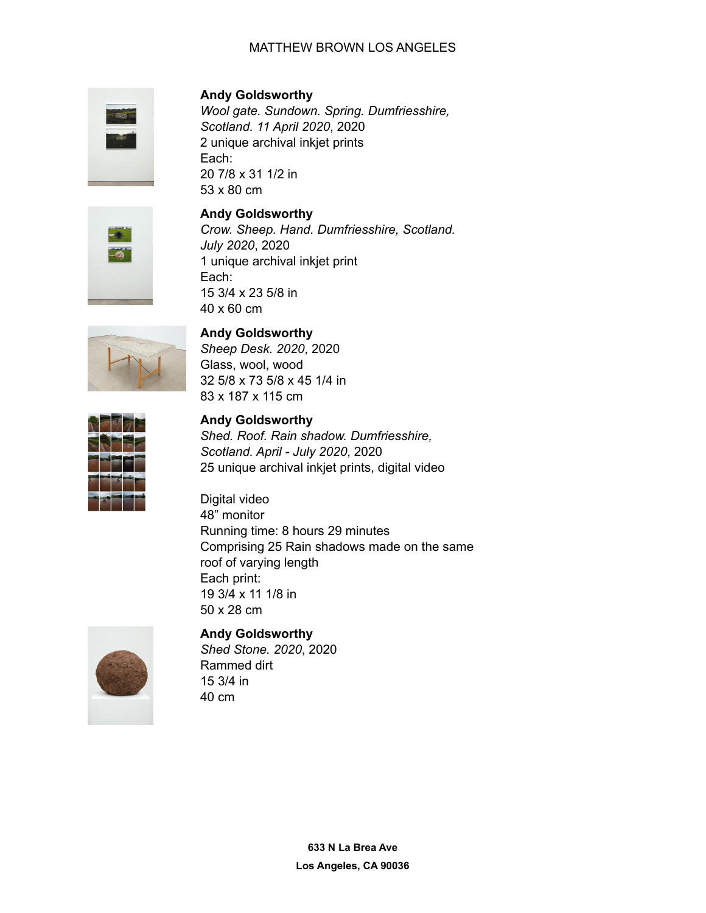

**Andy Goldsworthy**

*Wool gate. Sundown. Spring. Dumfriesshire, Scotland. 11 April 2020*, 2020 2 unique archival inkjet prints Each: 20 7/8 x 31 1/2 in 53 x 80 cm



**Andy Goldsworthy** *Crow. Sheep. Hand. Dumfriesshire, Scotland. July 2020*, 2020 1 unique archival inkjet print Each: 15 3/4 x 23 5/8 in 40 x 60 cm



**Andy Goldsworthy**

*Sheep Desk. 2020*, 2020 Glass, wool, wood 32 5/8 x 73 5/8 x 45 1/4 in 83 x 187 x 115 cm

## **Andy Goldsworthy**

*Shed. Roof. Rain shadow. Dumfriesshire, Scotland. April - July 2020*, 2020 25 unique archival inkjet prints, digital video

Digital video 48" monitor Running time: 8 hours 29 minutes Comprising 25 Rain shadows made on the same roof of varying length Each print: 19 3/4 x 11 1/8 in 50 x 28 cm



## **Andy Goldsworthy**

*Shed Stone. 2020*, 2020 Rammed dirt 15 3/4 in 40 cm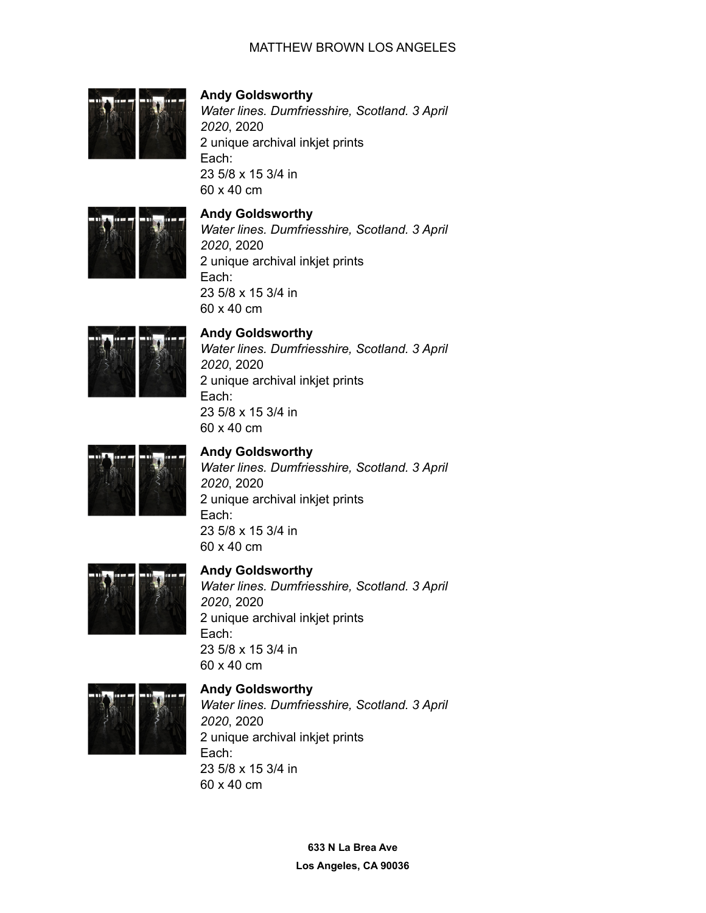

# **Andy Goldsworthy**

*Water lines. Dumfriesshire, Scotland. 3 April 2020*, 2020 2 unique archival inkjet prints Each: 23 5/8 x 15 3/4 in 60 x 40 cm



#### **Andy Goldsworthy**

*Water lines. Dumfriesshire, Scotland. 3 April 2020*, 2020 2 unique archival inkjet prints Each: 23 5/8 x 15 3/4 in 60 x 40 cm



# **Andy Goldsworthy**

*Water lines. Dumfriesshire, Scotland. 3 April 2020*, 2020 2 unique archival inkjet prints Each: 23 5/8 x 15 3/4 in 60 x 40 cm



# **Andy Goldsworthy**

*Water lines. Dumfriesshire, Scotland. 3 April 2020*, 2020 2 unique archival inkjet prints Each: 23 5/8 x 15 3/4 in 60 x 40 cm



#### **Andy Goldsworthy**

*Water lines. Dumfriesshire, Scotland. 3 April 2020*, 2020 2 unique archival inkjet prints Each: 23 5/8 x 15 3/4 in 60 x 40 cm



## **Andy Goldsworthy**

*Water lines. Dumfriesshire, Scotland. 3 April 2020*, 2020 2 unique archival inkjet prints Each: 23 5/8 x 15 3/4 in 60 x 40 cm